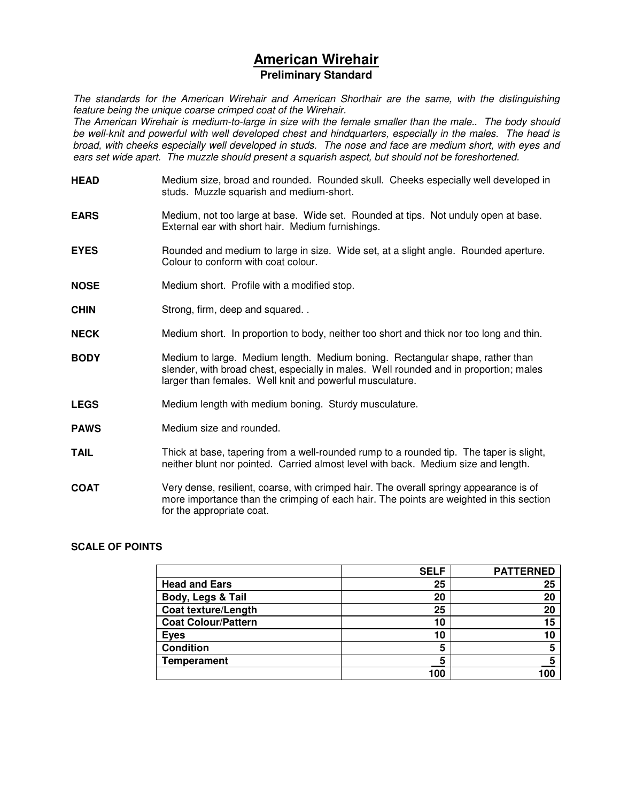# **American Wirehair Preliminary Standard**

The standards for the American Wirehair and American Shorthair are the same, with the distinguishing feature being the unique coarse crimped coat of the Wirehair.

The American Wirehair is medium-to-large in size with the female smaller than the male.. The body should be well-knit and powerful with well developed chest and hindquarters, especially in the males. The head is broad, with cheeks especially well developed in studs. The nose and face are medium short, with eyes and ears set wide apart. The muzzle should present a squarish aspect, but should not be foreshortened.

- **HEAD** Medium size, broad and rounded. Rounded skull. Cheeks especially well developed in studs. Muzzle squarish and medium-short.
- **EARS** Medium, not too large at base. Wide set. Rounded at tips. Not unduly open at base. External ear with short hair. Medium furnishings.
- **EYES** Rounded and medium to large in size. Wide set, at a slight angle. Rounded aperture. Colour to conform with coat colour.
- **NOSE** Medium short. Profile with a modified stop.
- **CHIN** Strong, firm, deep and squared.
- **NECK** Medium short. In proportion to body, neither too short and thick nor too long and thin.
- **BODY** Medium to large. Medium length. Medium boning. Rectangular shape, rather than slender, with broad chest, especially in males. Well rounded and in proportion; males larger than females. Well knit and powerful musculature.
- **LEGS** Medium length with medium boning. Sturdy musculature.
- **PAWS** Medium size and rounded.
- **TAIL** Thick at base, tapering from a well-rounded rump to a rounded tip. The taper is slight, neither blunt nor pointed. Carried almost level with back. Medium size and length.
- **COAT** Very dense, resilient, coarse, with crimped hair. The overall springy appearance is of more importance than the crimping of each hair. The points are weighted in this section for the appropriate coat.

#### **SCALE OF POINTS**

|                            | <b>SELF</b> | <b>PATTERNED</b> |
|----------------------------|-------------|------------------|
| <b>Head and Ears</b>       | 25          | 25               |
| Body, Legs & Tail          | 20          | 20               |
| <b>Coat texture/Length</b> | 25          | 20               |
| <b>Coat Colour/Pattern</b> | 10          | 15               |
| Eyes                       | 10          | 10               |
| <b>Condition</b>           | 5           | 5                |
| <b>Temperament</b>         | 5           |                  |
|                            | 100         | 100              |